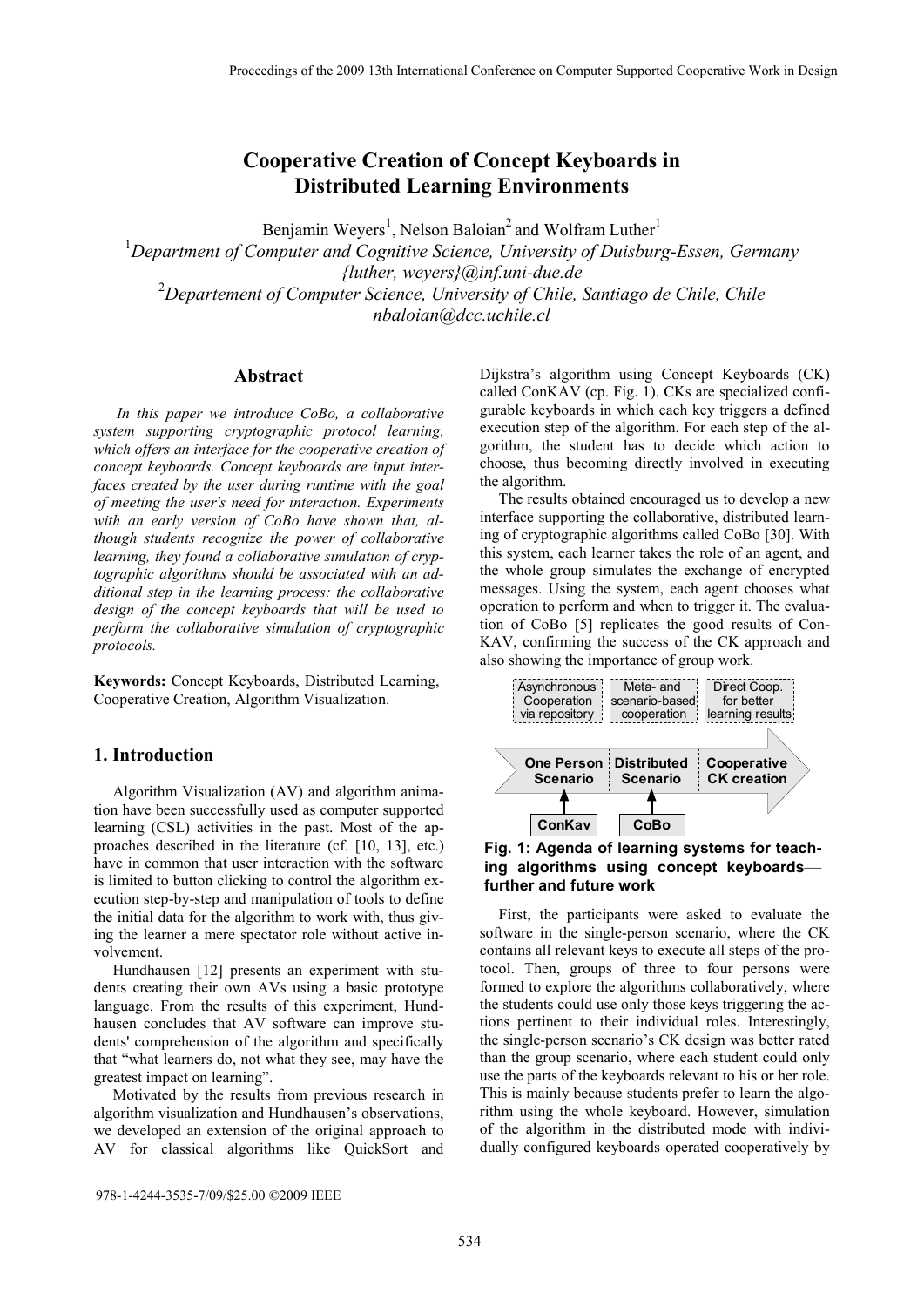# **Cooperative Creation of Concept Keyboards in Distributed Learning Environments**

Benjamin Weyers<sup>1</sup>, Nelson Baloian<sup>2</sup> and Wolfram Luther<sup>1</sup>

<sup>1</sup>Department of Computer and Cognitive Science, University of Duisburg-Essen, Germany *{luther, weyers}@inf.uni-due.de*  2 *Departement of Computer Science, University of Chile, Santiago de Chile, Chile nbaloian@dcc.uchile.cl* 

#### **Abstract**

 *In this paper we introduce CoBo, a collaborative system supporting cryptographic protocol learning, which offers an interface for the cooperative creation of concept keyboards. Concept keyboards are input interfaces created by the user during runtime with the goal of meeting the user's need for interaction. Experiments with an early version of CoBo have shown that, although students recognize the power of collaborative learning, they found a collaborative simulation of cryptographic algorithms should be associated with an additional step in the learning process: the collaborative design of the concept keyboards that will be used to perform the collaborative simulation of cryptographic protocols.* 

**Keywords:** Concept Keyboards, Distributed Learning, Cooperative Creation, Algorithm Visualization.

# **1. Introduction**

Algorithm Visualization (AV) and algorithm animation have been successfully used as computer supported learning (CSL) activities in the past. Most of the approaches described in the literature (cf. [10, 13], etc.) have in common that user interaction with the software is limited to button clicking to control the algorithm execution step-by-step and manipulation of tools to define the initial data for the algorithm to work with, thus giving the learner a mere spectator role without active involvement.

Hundhausen [12] presents an experiment with students creating their own AVs using a basic prototype language. From the results of this experiment, Hundhausen concludes that AV software can improve students' comprehension of the algorithm and specifically that "what learners do, not what they see, may have the greatest impact on learning".

Motivated by the results from previous research in algorithm visualization and Hundhausen's observations, we developed an extension of the original approach to AV for classical algorithms like QuickSort and

978-1-4244-3535-7/09/\$25.00 ©2009 IEEE

Dijkstra's algorithm using Concept Keyboards (CK) called ConKAV (cp. Fig. 1). CKs are specialized configurable keyboards in which each key triggers a defined execution step of the algorithm. For each step of the algorithm, the student has to decide which action to choose, thus becoming directly involved in executing the algorithm.

The results obtained encouraged us to develop a new interface supporting the collaborative, distributed learning of cryptographic algorithms called CoBo [30]. With this system, each learner takes the role of an agent, and the whole group simulates the exchange of encrypted messages. Using the system, each agent chooses what operation to perform and when to trigger it. The evaluation of CoBo [5] replicates the good results of Con-KAV, confirming the success of the CK approach and also showing the importance of group work.





First, the participants were asked to evaluate the software in the single-person scenario, where the CK contains all relevant keys to execute all steps of the protocol. Then, groups of three to four persons were formed to explore the algorithms collaboratively, where the students could use only those keys triggering the actions pertinent to their individual roles. Interestingly, the single-person scenario's CK design was better rated than the group scenario, where each student could only use the parts of the keyboards relevant to his or her role. This is mainly because students prefer to learn the algorithm using the whole keyboard. However, simulation of the algorithm in the distributed mode with individually configured keyboards operated cooperatively by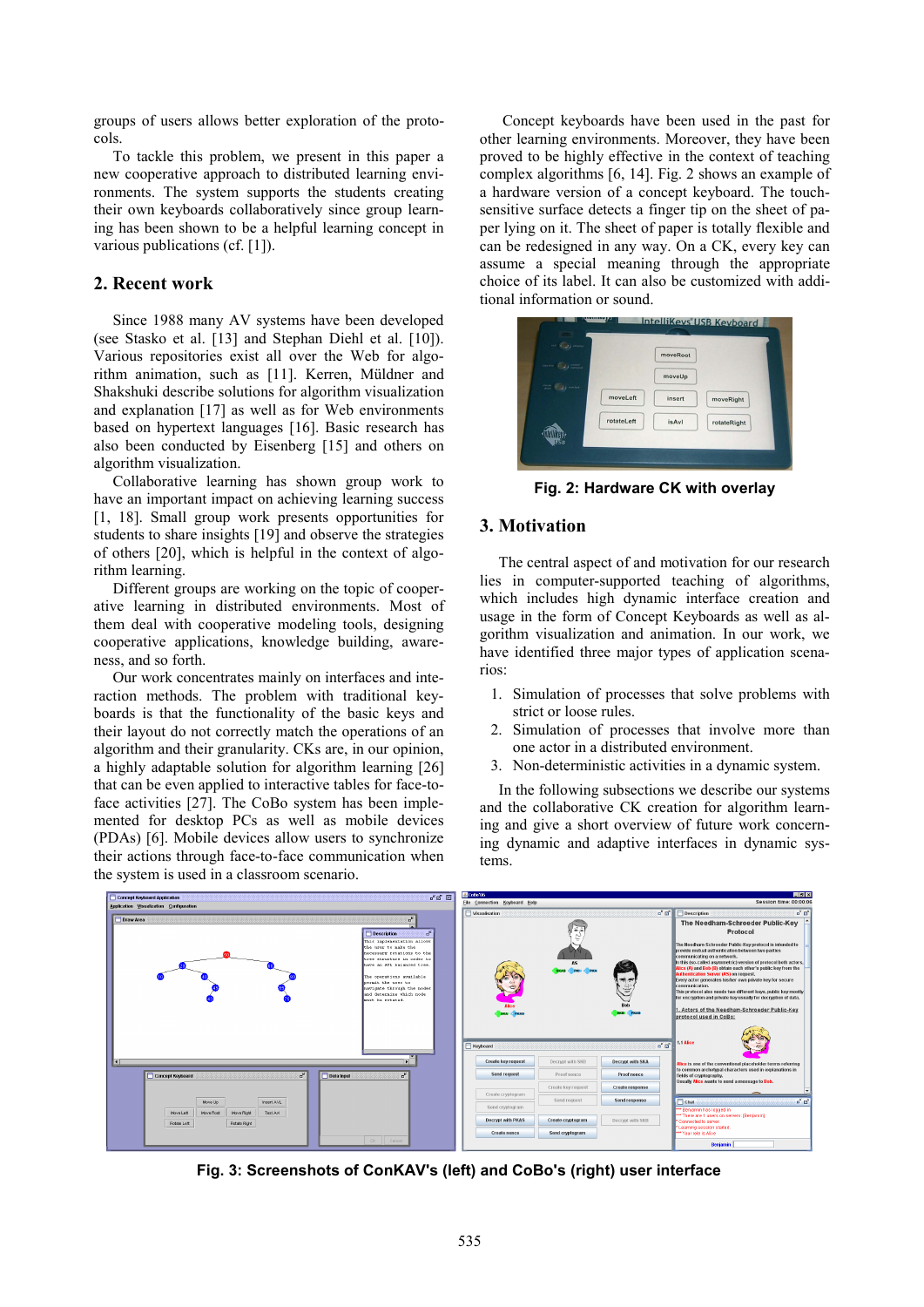groups of users allows better exploration of the protocols.

To tackle this problem, we present in this paper a new cooperative approach to distributed learning environments. The system supports the students creating their own keyboards collaboratively since group learning has been shown to be a helpful learning concept in various publications (cf. [1]).

# **2. Recent work**

Since 1988 many AV systems have been developed (see Stasko et al. [13] and Stephan Diehl et al. [10]). Various repositories exist all over the Web for algorithm animation, such as [11]. Kerren, Müldner and Shakshuki describe solutions for algorithm visualization and explanation [17] as well as for Web environments based on hypertext languages [16]. Basic research has also been conducted by Eisenberg [15] and others on algorithm visualization.

Collaborative learning has shown group work to have an important impact on achieving learning success [1, 18]. Small group work presents opportunities for students to share insights [19] and observe the strategies of others [20], which is helpful in the context of algorithm learning.

Different groups are working on the topic of cooperative learning in distributed environments. Most of them deal with cooperative modeling tools, designing cooperative applications, knowledge building, awareness, and so forth.

Our work concentrates mainly on interfaces and interaction methods. The problem with traditional keyboards is that the functionality of the basic keys and their layout do not correctly match the operations of an algorithm and their granularity. CKs are, in our opinion, a highly adaptable solution for algorithm learning [26] that can be even applied to interactive tables for face-toface activities [27]. The CoBo system has been implemented for desktop PCs as well as mobile devices (PDAs) [6]. Mobile devices allow users to synchronize their actions through face-to-face communication when the system is used in a classroom scenario.

 Concept keyboards have been used in the past for other learning environments. Moreover, they have been proved to be highly effective in the context of teaching complex algorithms [6, 14]. Fig. 2 shows an example of a hardware version of a concept keyboard. The touchsensitive surface detects a finger tip on the sheet of paper lying on it. The sheet of paper is totally flexible and can be redesigned in any way. On a CK, every key can assume a special meaning through the appropriate choice of its label. It can also be customized with additional information or sound.



**Fig. 2: Hardware CK with overlay** 

# **3. Motivation**

The central aspect of and motivation for our research lies in computer-supported teaching of algorithms, which includes high dynamic interface creation and usage in the form of Concept Keyboards as well as algorithm visualization and animation. In our work, we have identified three major types of application scenarios:

- 1. Simulation of processes that solve problems with strict or loose rules.
- 2. Simulation of processes that involve more than one actor in a distributed environment.
- 3. Non-deterministic activities in a dynamic system.

In the following subsections we describe our systems and the collaborative CK creation for algorithm learning and give a short overview of future work concerning dynamic and adaptive interfaces in dynamic systems.



**Fig. 3: Screenshots of ConKAV's (left) and CoBo's (right) user interface**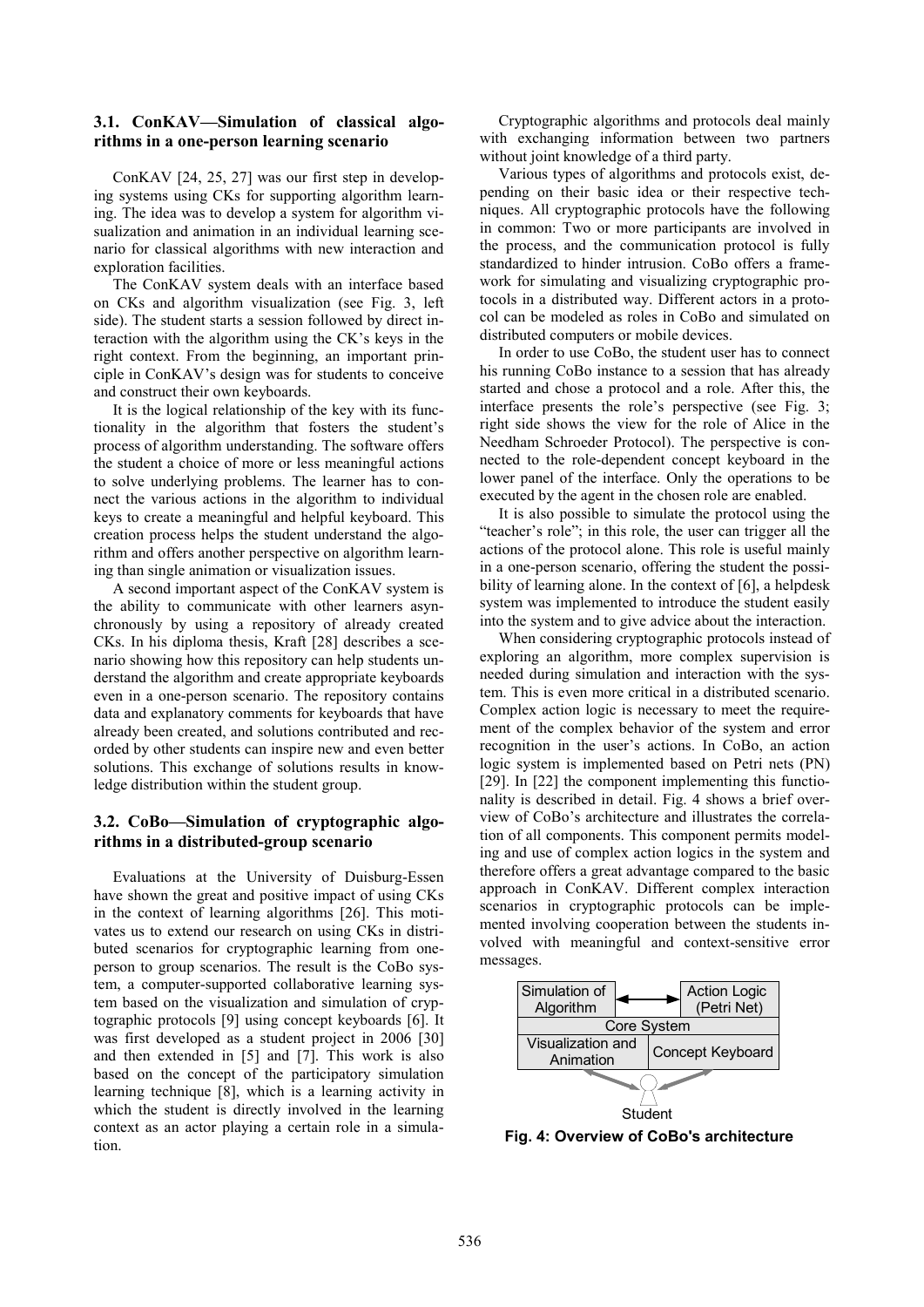#### **3.1. ConKAV—Simulation of classical algorithms in a one-person learning scenario**

ConKAV [24, 25, 27] was our first step in developing systems using CKs for supporting algorithm learning. The idea was to develop a system for algorithm visualization and animation in an individual learning scenario for classical algorithms with new interaction and exploration facilities.

The ConKAV system deals with an interface based on CKs and algorithm visualization (see Fig. 3, left side). The student starts a session followed by direct interaction with the algorithm using the CK's keys in the right context. From the beginning, an important principle in ConKAV's design was for students to conceive and construct their own keyboards.

It is the logical relationship of the key with its functionality in the algorithm that fosters the student's process of algorithm understanding. The software offers the student a choice of more or less meaningful actions to solve underlying problems. The learner has to connect the various actions in the algorithm to individual keys to create a meaningful and helpful keyboard. This creation process helps the student understand the algorithm and offers another perspective on algorithm learning than single animation or visualization issues.

A second important aspect of the ConKAV system is the ability to communicate with other learners asynchronously by using a repository of already created CKs. In his diploma thesis, Kraft [28] describes a scenario showing how this repository can help students understand the algorithm and create appropriate keyboards even in a one-person scenario. The repository contains data and explanatory comments for keyboards that have already been created, and solutions contributed and recorded by other students can inspire new and even better solutions. This exchange of solutions results in knowledge distribution within the student group.

### **3.2. CoBo—Simulation of cryptographic algorithms in a distributed-group scenario**

Evaluations at the University of Duisburg-Essen have shown the great and positive impact of using CKs in the context of learning algorithms [26]. This motivates us to extend our research on using CKs in distributed scenarios for cryptographic learning from oneperson to group scenarios. The result is the CoBo system, a computer-supported collaborative learning system based on the visualization and simulation of cryptographic protocols [9] using concept keyboards [6]. It was first developed as a student project in 2006 [30] and then extended in [5] and [7]. This work is also based on the concept of the participatory simulation learning technique [8], which is a learning activity in which the student is directly involved in the learning context as an actor playing a certain role in a simulation.

Cryptographic algorithms and protocols deal mainly with exchanging information between two partners without joint knowledge of a third party.

Various types of algorithms and protocols exist, depending on their basic idea or their respective techniques. All cryptographic protocols have the following in common: Two or more participants are involved in the process, and the communication protocol is fully standardized to hinder intrusion. CoBo offers a framework for simulating and visualizing cryptographic protocols in a distributed way. Different actors in a protocol can be modeled as roles in CoBo and simulated on distributed computers or mobile devices.

In order to use CoBo, the student user has to connect his running CoBo instance to a session that has already started and chose a protocol and a role. After this, the interface presents the role's perspective (see Fig. 3; right side shows the view for the role of Alice in the Needham Schroeder Protocol). The perspective is connected to the role-dependent concept keyboard in the lower panel of the interface. Only the operations to be executed by the agent in the chosen role are enabled.

It is also possible to simulate the protocol using the "teacher's role"; in this role, the user can trigger all the actions of the protocol alone. This role is useful mainly in a one-person scenario, offering the student the possibility of learning alone. In the context of [6], a helpdesk system was implemented to introduce the student easily into the system and to give advice about the interaction.

When considering cryptographic protocols instead of exploring an algorithm, more complex supervision is needed during simulation and interaction with the system. This is even more critical in a distributed scenario. Complex action logic is necessary to meet the requirement of the complex behavior of the system and error recognition in the user's actions. In CoBo, an action logic system is implemented based on Petri nets (PN) [29]. In [22] the component implementing this functionality is described in detail. Fig. 4 shows a brief overview of CoBo's architecture and illustrates the correlation of all components. This component permits modeling and use of complex action logics in the system and therefore offers a great advantage compared to the basic approach in ConKAV. Different complex interaction scenarios in cryptographic protocols can be implemented involving cooperation between the students involved with meaningful and context-sensitive error messages.



**Fig. 4: Overview of CoBo's architecture**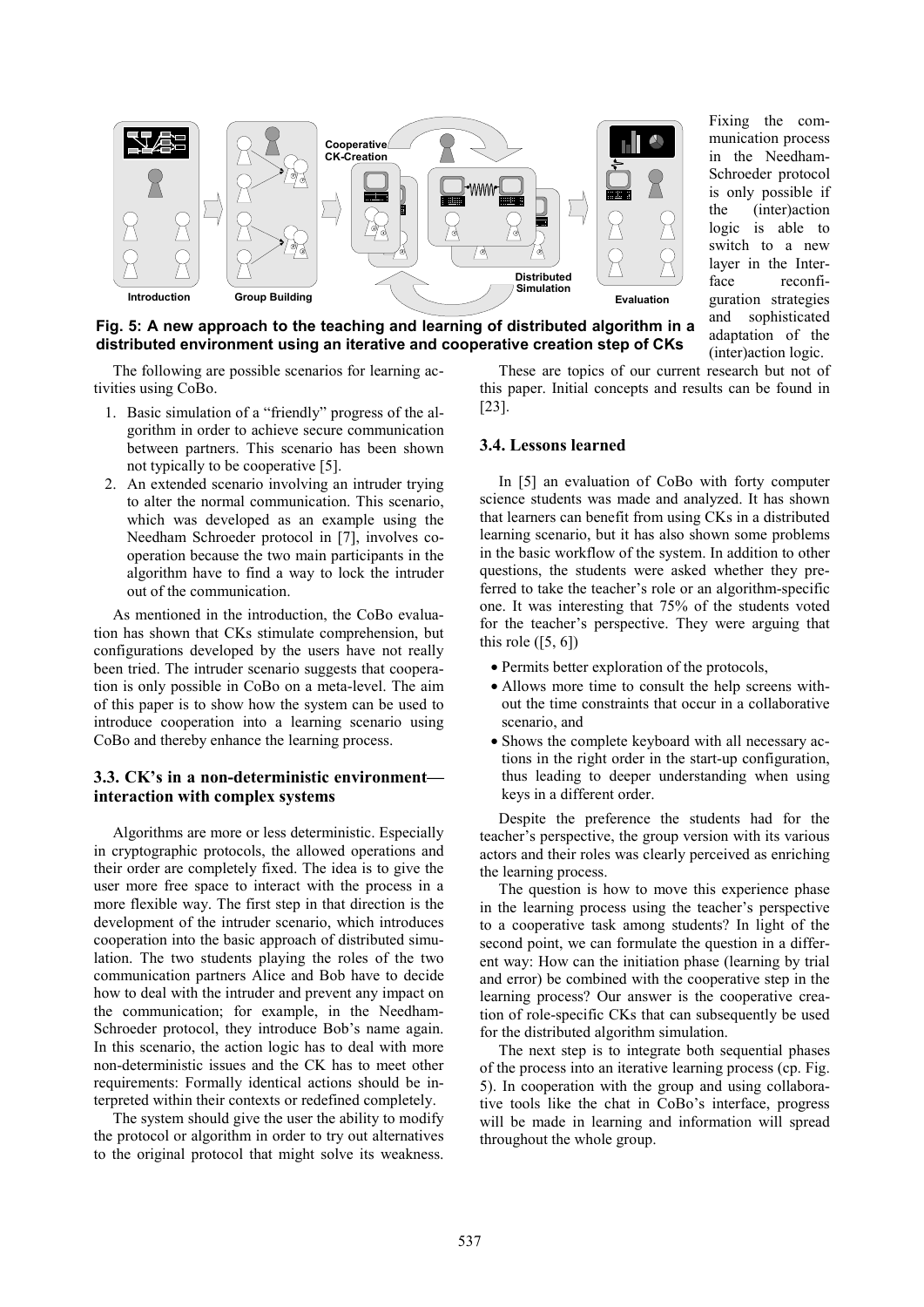

Fixing the communication process in the Needham-Schroeder protocol is only possible if the (inter)action logic is able to switch to a new layer in the Interface reconfiguration strategies and sophisticated adaptation of the (inter)action logic.

**Fig. 5: A new approach to the teaching and learning of distributed algorithm in a distributed environment using an iterative and cooperative creation step of CKs** 

The following are possible scenarios for learning activities using CoBo.

- 1. Basic simulation of a "friendly" progress of the algorithm in order to achieve secure communication between partners. This scenario has been shown not typically to be cooperative [5].
- 2. An extended scenario involving an intruder trying to alter the normal communication. This scenario, which was developed as an example using the Needham Schroeder protocol in [7], involves cooperation because the two main participants in the algorithm have to find a way to lock the intruder out of the communication.

As mentioned in the introduction, the CoBo evaluation has shown that CKs stimulate comprehension, but configurations developed by the users have not really been tried. The intruder scenario suggests that cooperation is only possible in CoBo on a meta-level. The aim of this paper is to show how the system can be used to introduce cooperation into a learning scenario using CoBo and thereby enhance the learning process.

# **3.3. CK's in a non-deterministic environment interaction with complex systems**

Algorithms are more or less deterministic. Especially in cryptographic protocols, the allowed operations and their order are completely fixed. The idea is to give the user more free space to interact with the process in a more flexible way. The first step in that direction is the development of the intruder scenario, which introduces cooperation into the basic approach of distributed simulation. The two students playing the roles of the two communication partners Alice and Bob have to decide how to deal with the intruder and prevent any impact on the communication; for example, in the Needham-Schroeder protocol, they introduce Bob's name again. In this scenario, the action logic has to deal with more non-deterministic issues and the CK has to meet other requirements: Formally identical actions should be interpreted within their contexts or redefined completely.

The system should give the user the ability to modify the protocol or algorithm in order to try out alternatives to the original protocol that might solve its weakness.

These are topics of our current research but not of this paper. Initial concepts and results can be found in [23].

#### **3.4. Lessons learned**

In [5] an evaluation of CoBo with forty computer science students was made and analyzed. It has shown that learners can benefit from using CKs in a distributed learning scenario, but it has also shown some problems in the basic workflow of the system. In addition to other questions, the students were asked whether they preferred to take the teacher's role or an algorithm-specific one. It was interesting that 75% of the students voted for the teacher's perspective. They were arguing that this role  $(5, 6)$ 

- Permits better exploration of the protocols,
- Allows more time to consult the help screens without the time constraints that occur in a collaborative scenario, and
- Shows the complete keyboard with all necessary actions in the right order in the start-up configuration, thus leading to deeper understanding when using keys in a different order.

Despite the preference the students had for the teacher's perspective, the group version with its various actors and their roles was clearly perceived as enriching the learning process.

The question is how to move this experience phase in the learning process using the teacher's perspective to a cooperative task among students? In light of the second point, we can formulate the question in a different way: How can the initiation phase (learning by trial and error) be combined with the cooperative step in the learning process? Our answer is the cooperative creation of role-specific CKs that can subsequently be used for the distributed algorithm simulation.

The next step is to integrate both sequential phases of the process into an iterative learning process (cp. Fig. 5). In cooperation with the group and using collaborative tools like the chat in CoBo's interface, progress will be made in learning and information will spread throughout the whole group.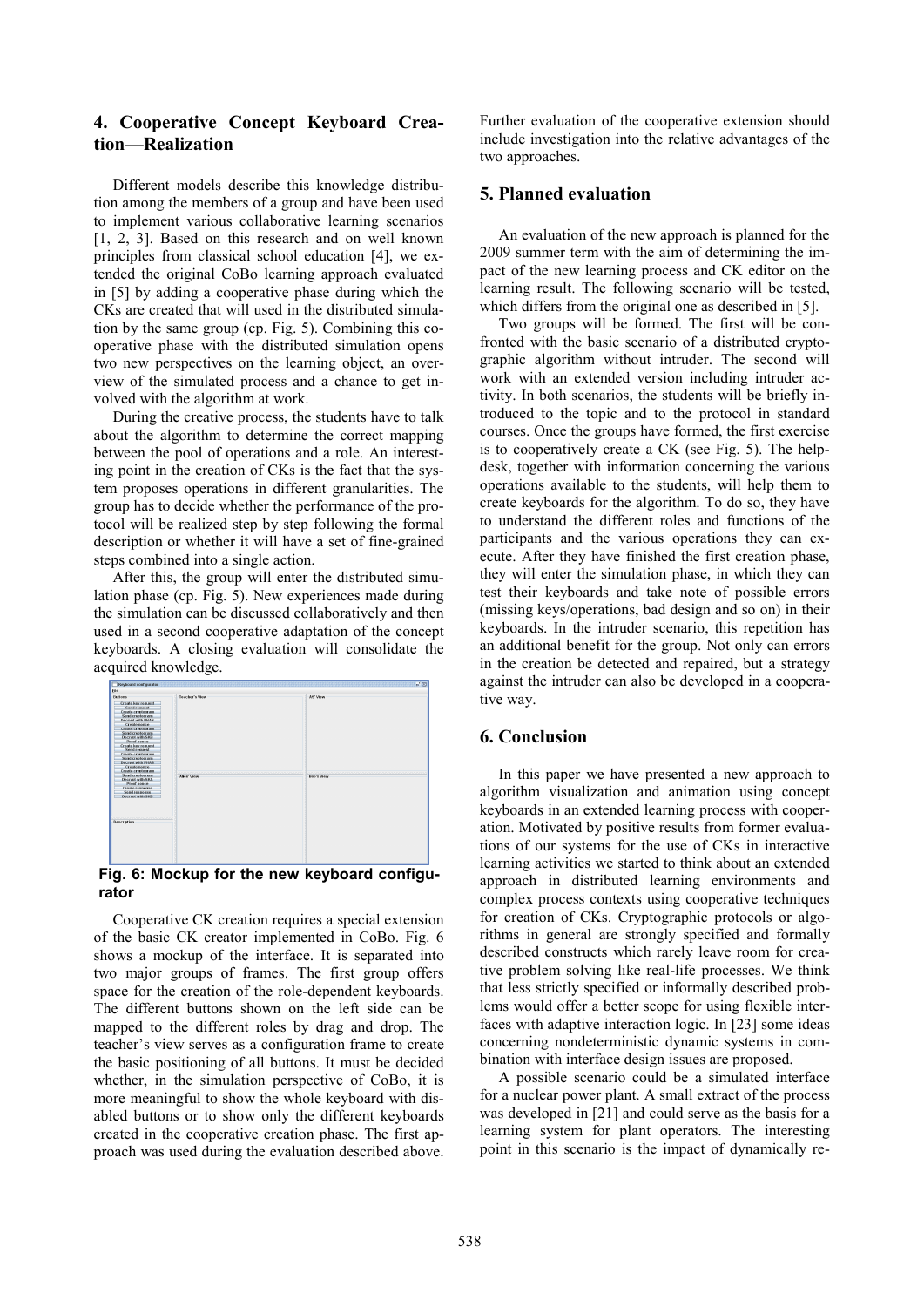# **4. Cooperative Concept Keyboard Creation—Realization**

Different models describe this knowledge distribution among the members of a group and have been used to implement various collaborative learning scenarios [1, 2, 3]. Based on this research and on well known principles from classical school education [4], we extended the original CoBo learning approach evaluated in [5] by adding a cooperative phase during which the CKs are created that will used in the distributed simulation by the same group (cp. Fig. 5). Combining this cooperative phase with the distributed simulation opens two new perspectives on the learning object, an overview of the simulated process and a chance to get involved with the algorithm at work.

During the creative process, the students have to talk about the algorithm to determine the correct mapping between the pool of operations and a role. An interesting point in the creation of CKs is the fact that the system proposes operations in different granularities. The group has to decide whether the performance of the protocol will be realized step by step following the formal description or whether it will have a set of fine-grained steps combined into a single action.

After this, the group will enter the distributed simulation phase (cp. Fig. 5). New experiences made during the simulation can be discussed collaboratively and then used in a second cooperative adaptation of the concept keyboards. A closing evaluation will consolidate the acquired knowledge.



# **rator**

Cooperative CK creation requires a special extension of the basic CK creator implemented in CoBo. Fig. 6 shows a mockup of the interface. It is separated into two major groups of frames. The first group offers space for the creation of the role-dependent keyboards. The different buttons shown on the left side can be mapped to the different roles by drag and drop. The teacher's view serves as a configuration frame to create the basic positioning of all buttons. It must be decided whether, in the simulation perspective of CoBo, it is more meaningful to show the whole keyboard with disabled buttons or to show only the different keyboards created in the cooperative creation phase. The first approach was used during the evaluation described above.

Further evaluation of the cooperative extension should include investigation into the relative advantages of the two approaches.

# **5. Planned evaluation**

An evaluation of the new approach is planned for the 2009 summer term with the aim of determining the impact of the new learning process and CK editor on the learning result. The following scenario will be tested, which differs from the original one as described in [5].

Two groups will be formed. The first will be confronted with the basic scenario of a distributed cryptographic algorithm without intruder. The second will work with an extended version including intruder activity. In both scenarios, the students will be briefly introduced to the topic and to the protocol in standard courses. Once the groups have formed, the first exercise is to cooperatively create a CK (see Fig. 5). The helpdesk, together with information concerning the various operations available to the students, will help them to create keyboards for the algorithm. To do so, they have to understand the different roles and functions of the participants and the various operations they can execute. After they have finished the first creation phase, they will enter the simulation phase, in which they can test their keyboards and take note of possible errors (missing keys/operations, bad design and so on) in their keyboards. In the intruder scenario, this repetition has an additional benefit for the group. Not only can errors in the creation be detected and repaired, but a strategy against the intruder can also be developed in a cooperative way.

# **6. Conclusion**

In this paper we have presented a new approach to algorithm visualization and animation using concept keyboards in an extended learning process with cooperation. Motivated by positive results from former evaluations of our systems for the use of CKs in interactive learning activities we started to think about an extended approach in distributed learning environments and complex process contexts using cooperative techniques for creation of CKs. Cryptographic protocols or algorithms in general are strongly specified and formally described constructs which rarely leave room for creative problem solving like real-life processes. We think that less strictly specified or informally described problems would offer a better scope for using flexible interfaces with adaptive interaction logic. In [23] some ideas concerning nondeterministic dynamic systems in combination with interface design issues are proposed.

A possible scenario could be a simulated interface for a nuclear power plant. A small extract of the process was developed in [21] and could serve as the basis for a learning system for plant operators. The interesting point in this scenario is the impact of dynamically re-